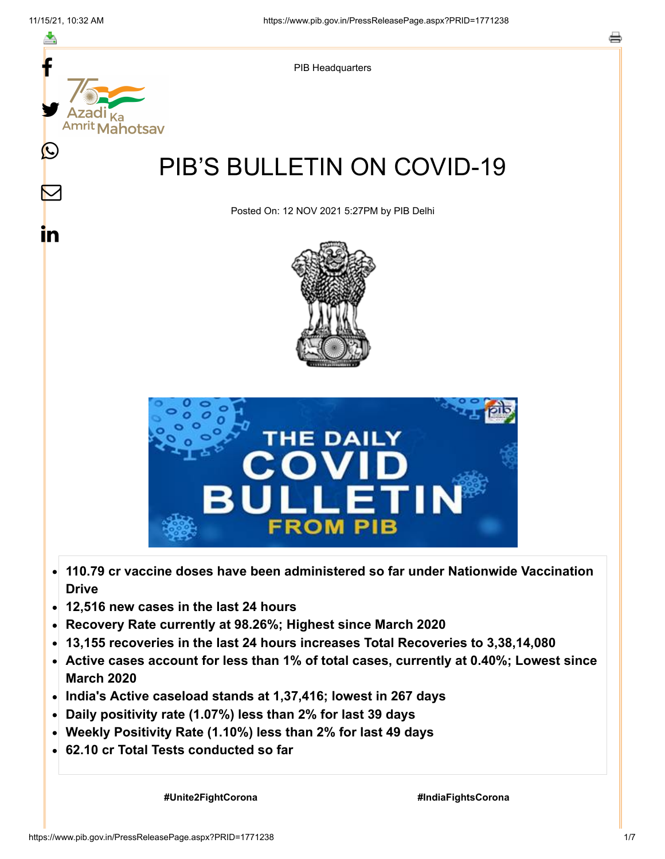

- **110.79 cr vaccine doses have been administered so far under Nationwide Vaccination**  $\bullet$ **Drive**
- **12,516 new cases in the last 24 hours**
- **Recovery Rate currently at 98.26%; Highest since March 2020**
- **13,155 recoveries in the last 24 hours increases Total Recoveries to 3,38,14,080**  $\bullet$
- **Active cases account for less than 1% of total cases, currently at 0.40%; Lowest since March 2020**
- **India's Active caseload stands at 1,37,416; lowest in 267 days**
- **Daily positivity rate (1.07%) less than 2% for last 39 days**
- **Weekly Positivity Rate (1.10%) less than 2% for last 49 days**
- **62.10 cr Total Tests conducted so far**

 **#Unite2FightCorona #IndiaFightsCorona**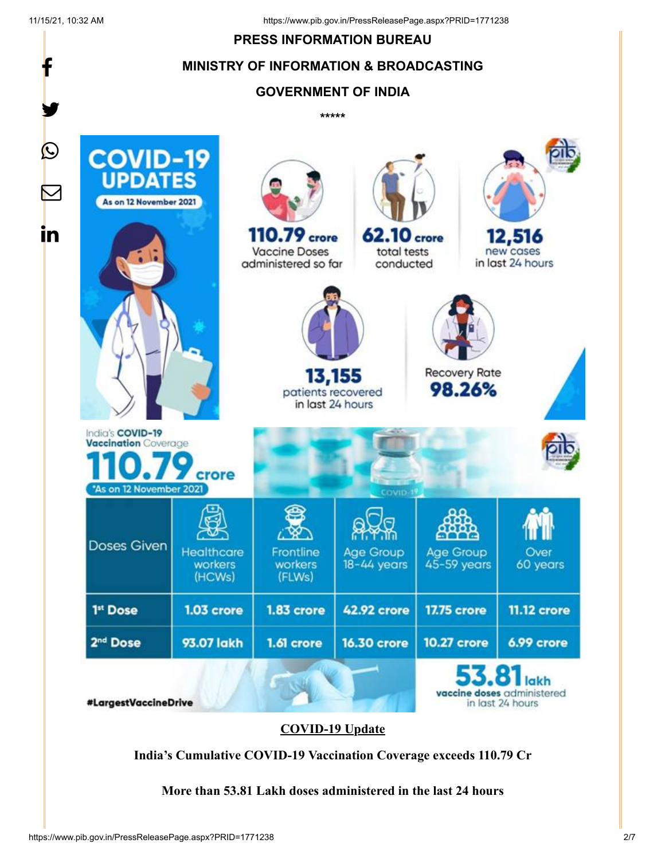f

y.

#### **PRESS INFORMATION BUREAU**

#### **MINISTRY OF INFORMATION & BROADCASTING**

# **GOVERNMENT OF INDIA**

**\*\*\*\*\***



#### **COVID-19 Update**

**India's Cumulative COVID-19 Vaccination Coverage exceeds 110.79 Cr**

**More than 53.81 Lakh doses administered in the last 24 hours**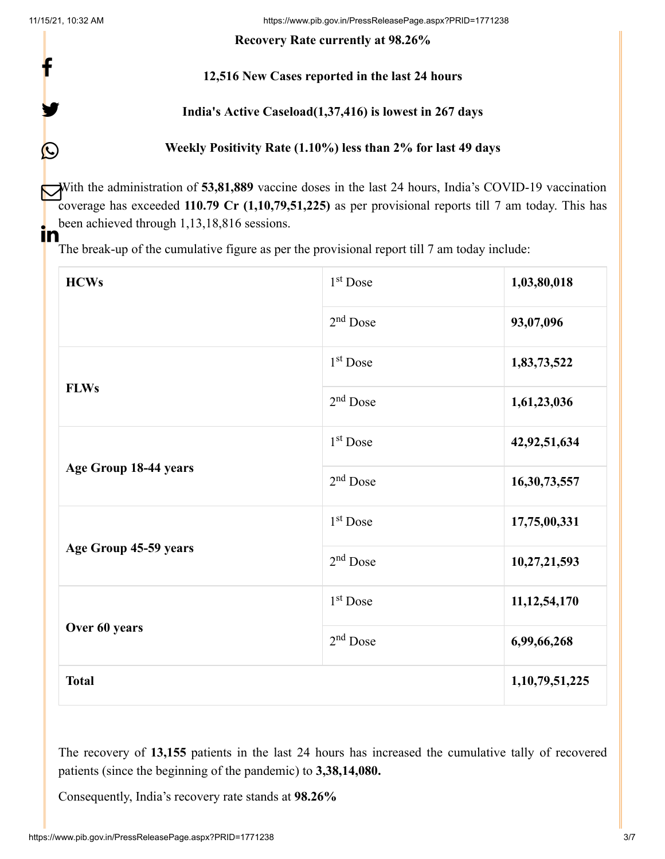f

y.

 $\bigcirc$ 

11/15/21, 10:32 AM https://www.pib.gov.in/PressReleasePage.aspx?PRID=1771238

**Recovery Rate currently at 98.26%**

# **12,516 New Cases reported in the last 24 hours**

# **India's Active Caseload(1,37,416) is lowest in 267 days**

# **Weekly Positivity Rate (1.10%) less than 2% for last 49 days**

With the administration of **53,81,889** vaccine doses in the last 24 hours, India's COVID-19 vaccination coverage has exceeded **110.79 Cr (1,10,79,51,225)** as per provisional reports till 7 am today. This has been achieved through 1,13,18,816 sessions.  $\mathbf{In}$ 

The break-up of the cumulative figure as per the provisional report till 7 am today include:

| <b>HCWs</b>           | $1st$ Dose           | 1,03,80,018     |
|-----------------------|----------------------|-----------------|
|                       | $2nd$ Dose           | 93,07,096       |
| <b>FLWs</b>           | $1st$ Dose           | 1,83,73,522     |
|                       | $2nd$ Dose           | 1,61,23,036     |
| Age Group 18-44 years | $1st$ Dose           | 42,92,51,634    |
|                       | $2nd$ Dose           | 16,30,73,557    |
| Age Group 45-59 years | $1st$ Dose           | 17,75,00,331    |
|                       | 2 <sup>nd</sup> Dose | 10,27,21,593    |
| Over 60 years         | $1st$ Dose           | 11, 12, 54, 170 |
|                       | $2nd$ Dose           | 6,99,66,268     |
| <b>Total</b>          |                      | 1,10,79,51,225  |

The recovery of **13,155** patients in the last 24 hours has increased the cumulative tally of recovered patients (since the beginning of the pandemic) to **3,38,14,080.**

Consequently, India's recovery rate stands at **98.26%**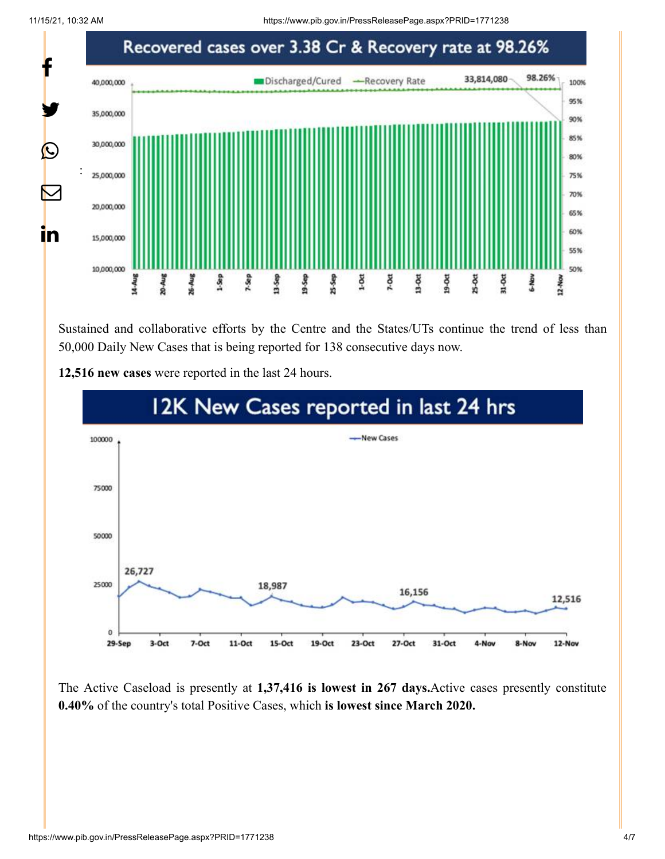11/15/21, 10:32 AM https://www.pib.gov.in/PressReleasePage.aspx?PRID=1771238



Sustained and collaborative efforts by the Centre and the States/UTs continue the trend of less than 50,000 Daily New Cases that is being reported for 138 consecutive days now.



**12,516 new cases** were reported in the last 24 hours.

The Active Caseload is presently at **1,37,416 is lowest in 267 days.**Active cases presently constitute **0.40%** of the country's total Positive Cases, which **is lowest since March 2020.**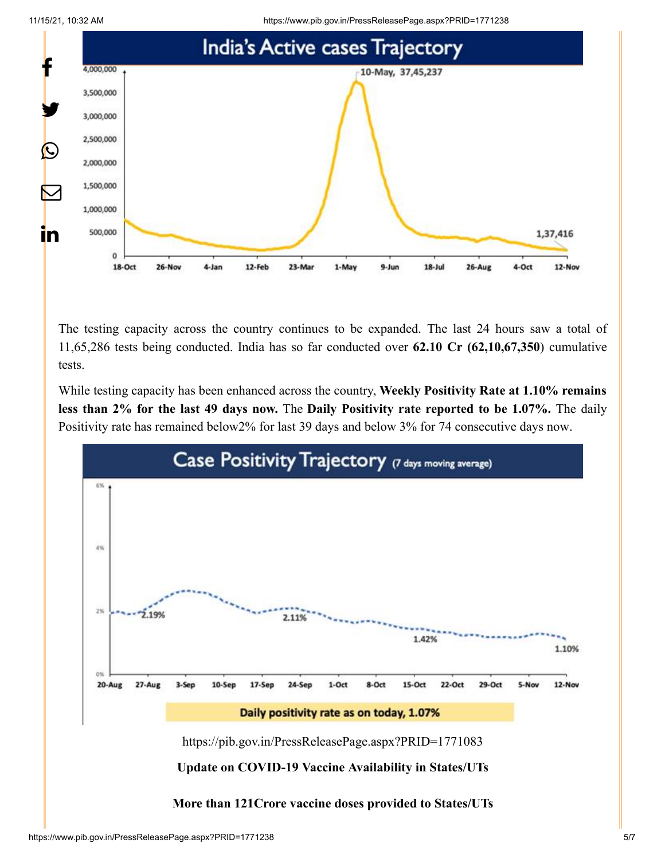11/15/21, 10:32 AM https://www.pib.gov.in/PressReleasePage.aspx?PRID=1771238





The testing capacity across the country continues to be expanded. The last 24 hours saw a total of 11,65,286 tests being conducted. India has so far conducted over **62.10 Cr (62,10,67,350**) cumulative tests.

While testing capacity has been enhanced across the country, **Weekly Positivity Rate at 1.10% remains less than 2% for the last 49 days now.** The **Daily Positivity rate reported to be 1.07%.** The daily Positivity rate has remained below2% for last 39 days and below 3% for 74 consecutive days now.

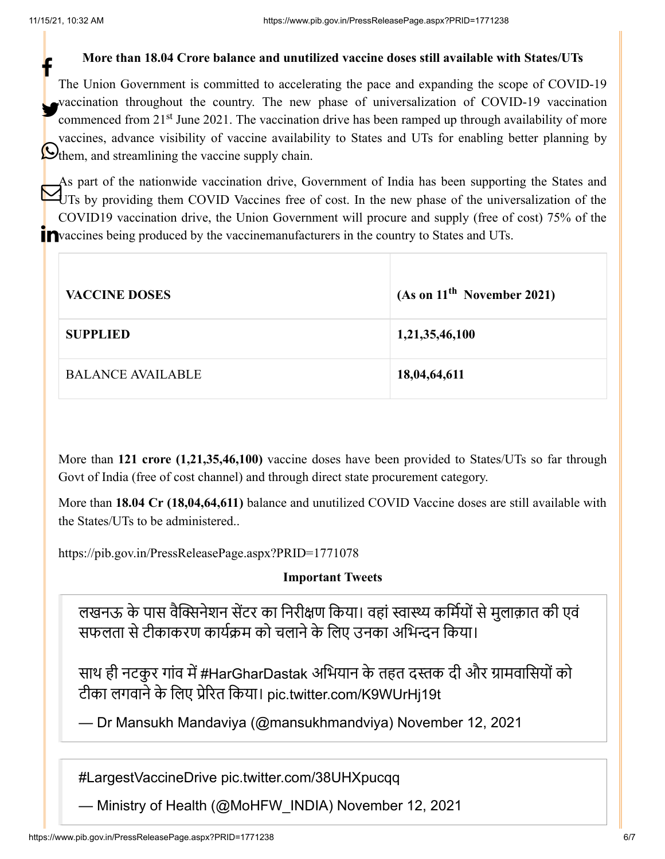#### **More than 18.04 Crore balance and unutilized vaccine doses still available with States/UTs**

The Union Government is committed to accelerating the pace and expanding the scope of COVID-19 vaccination throughout the country. The new phase of universalization of COVID-19 vaccination commenced from 21<sup>st</sup> June 2021. The vaccination drive has been ramped up through availability of more vaccines, advance visibility of vaccine availability to States and UTs for enabling better planning by Othem, and streamlining the vaccine supply chain. f

As part of the nationwide vaccination drive, Government of India has been supporting the States and UTs by providing them COVID Vaccines free of cost. In the new phase of the universalization of the COVID19 vaccination drive, the Union Government will procure and supply (free of cost) 75% of the Pvaccines being produced by the vaccinemanufacturers in the country to States and UTs.

| <b>VACCINE DOSES</b>     | (As on 11 <sup>th</sup> November 2021) |
|--------------------------|----------------------------------------|
| <b>SUPPLIED</b>          | 1,21,35,46,100                         |
| <b>BALANCE AVAILABLE</b> | 18,04,64,611                           |

More than **121 crore (1,21,35,46,100)** vaccine doses have been provided to States/UTs so far through Govt of India (free of cost channel) and through direct state procurement category.

More than **18.04 Cr (18,04,64,611)** balance and unutilized COVID Vaccine doses are still available with the States/UTs to be administered..

<https://pib.gov.in/PressReleasePage.aspx?PRID=1771078>

#### **Important Tweets**

लखनऊ के पास वैक्सिनेशन सेंटर का निरीक्षण किया। वहां स्वास्थ्य कर्मियों से मुलाक़ात की एवं सफलता से टीकाकरण कार्यक्रम को चलाने के लिए उनका अभिन्दन किया।

साथ ही नटकुर गांव में [#HarGharDastak](https://twitter.com/hashtag/HarGharDastak?src=hash&ref_src=twsrc%5Etfw) अभियान के तहत दस्तक दी और ग्रामवासियों को टीका लगवाने के लिए प्रेरित किया। [pic.twitter.com/K9WUrHj19t](https://t.co/K9WUrHj19t)

— Dr Mansukh Mandaviya (@mansukhmandviya) [November 12, 2021](https://twitter.com/mansukhmandviya/status/1459112435860738048?ref_src=twsrc%5Etfw)

[#LargestVaccineDrive](https://twitter.com/hashtag/LargestVaccineDrive?src=hash&ref_src=twsrc%5Etfw) [pic.twitter.com/38UHXpucqq](https://t.co/38UHXpucqq)

— Ministry of Health (@MoHFW\_INDIA) [November 12, 2021](https://twitter.com/MoHFW_INDIA/status/1459039132978532352?ref_src=twsrc%5Etfw)